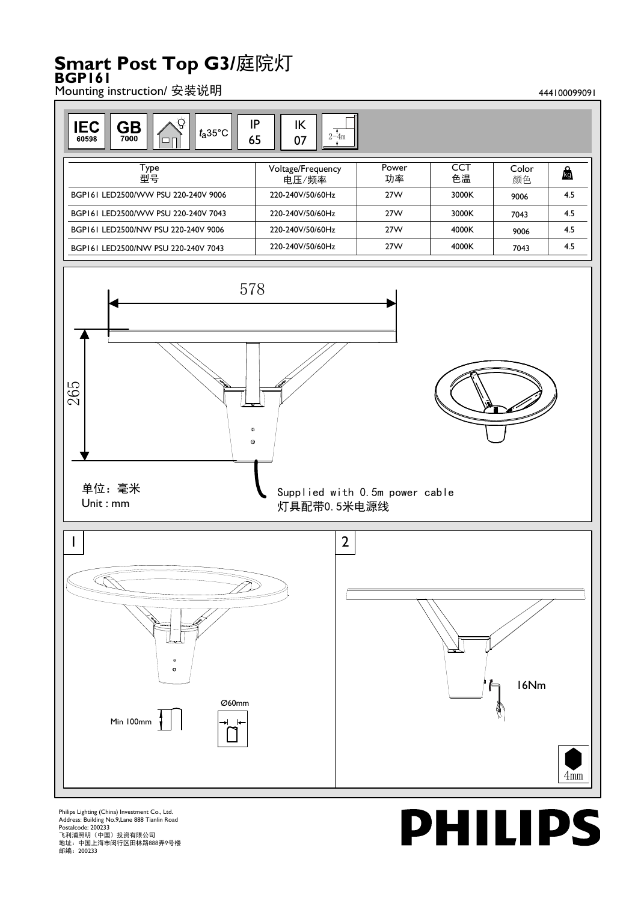## **Smart Post Top G3/**庭院灯 **BGP161**

Mounting instruction/ 安装说明 444100099091



Philips Lighting (China) Investment Co., Ltd. Address: Building No.9,Lane 888 Tianlin Road Postalcode: 200233 飞利浦照明(中国)投资有限公司 地址:中国上海市闵行区田林路888弄9号楼 邮编:200233

## **PHILIPS**